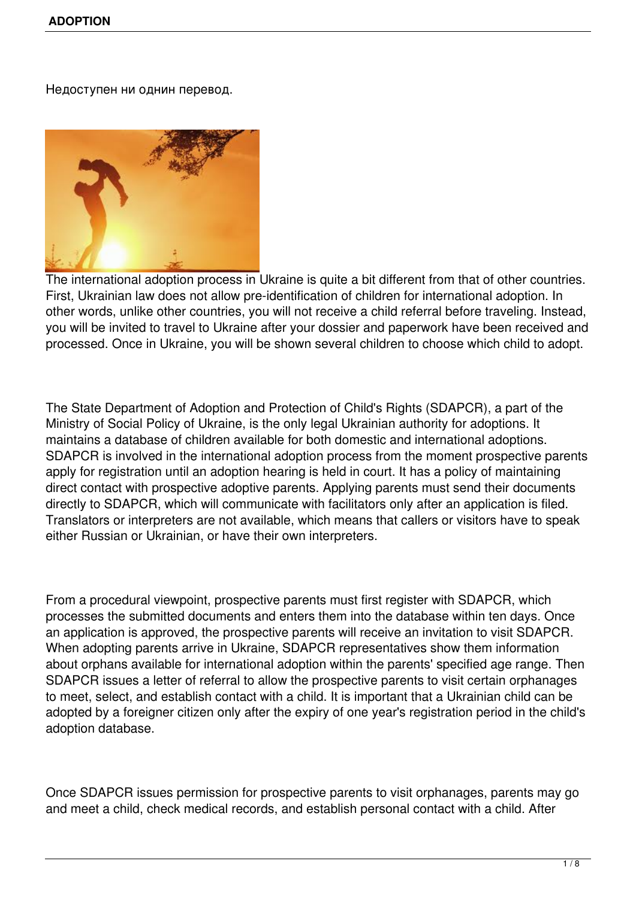Недоступен ни однин перевод.



The international adoption process in Ukraine is quite a bit different from that of other countries. First, Ukrainian law does not allow pre-identification of children for international adoption. In other words, unlike other countries, you will not receive a child referral before traveling. Instead, you will be invited to travel to Ukraine after your dossier and paperwork have been received and processed. Once in Ukraine, you will be shown several children to choose which child to adopt.

The State Department of Adoption and Protection of Child's Rights (SDAPCR), a part of the Ministry of Social Policy of Ukraine, is the only legal Ukrainian authority for adoptions. It maintains a database of children available for both domestic and international adoptions. SDAPCR is involved in the international adoption process from the moment prospective parents apply for registration until an adoption hearing is held in court. It has a policy of maintaining direct contact with prospective adoptive parents. Applying parents must send their documents directly to SDAPCR, which will communicate with facilitators only after an application is filed. Translators or interpreters are not available, which means that callers or visitors have to speak either Russian or Ukrainian, or have their own interpreters.

From a procedural viewpoint, prospective parents must first register with SDAPCR, which processes the submitted documents and enters them into the database within ten days. Once an application is approved, the prospective parents will receive an invitation to visit SDAPCR. When adopting parents arrive in Ukraine, SDAPCR representatives show them information about orphans available for international adoption within the parents' specified age range. Then SDAPCR issues a letter of referral to allow the prospective parents to visit certain orphanages to meet, select, and establish contact with a child. It is important that a Ukrainian child can be adopted by a foreigner citizen only after the expiry of one year's registration period in the child's adoption database.

Once SDAPCR issues permission for prospective parents to visit orphanages, parents may go and meet a child, check medical records, and establish personal contact with a child. After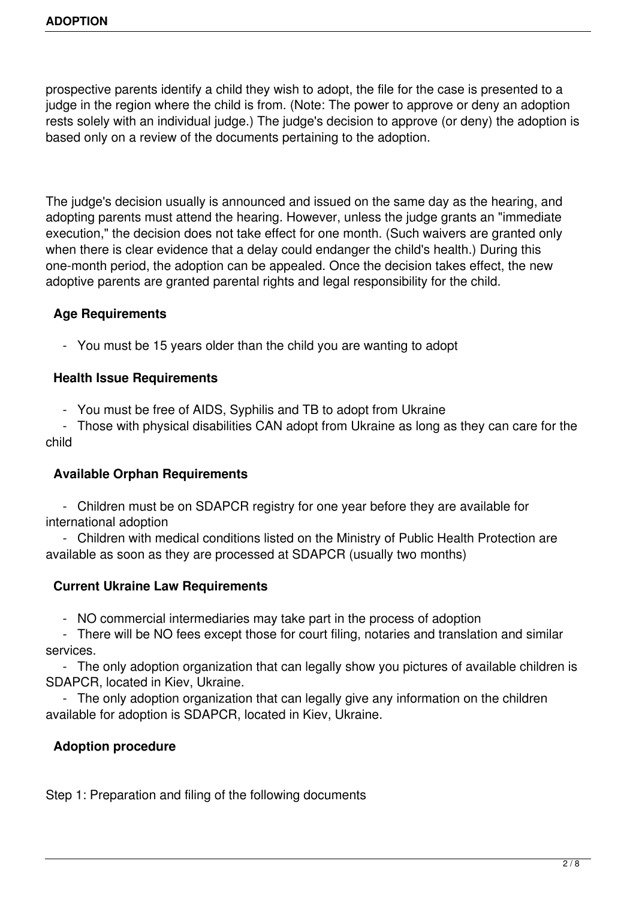prospective parents identify a child they wish to adopt, the file for the case is presented to a judge in the region where the child is from. (Note: The power to approve or deny an adoption rests solely with an individual judge.) The judge's decision to approve (or deny) the adoption is based only on a review of the documents pertaining to the adoption.

The judge's decision usually is announced and issued on the same day as the hearing, and adopting parents must attend the hearing. However, unless the judge grants an "immediate execution," the decision does not take effect for one month. (Such waivers are granted only when there is clear evidence that a delay could endanger the child's health.) During this one-month period, the adoption can be appealed. Once the decision takes effect, the new adoptive parents are granted parental rights and legal responsibility for the child.

# **Age Requirements**

- You must be 15 years older than the child you are wanting to adopt

## **Health Issue Requirements**

- You must be free of AIDS, Syphilis and TB to adopt from Ukraine

 - Those with physical disabilities CAN adopt from Ukraine as long as they can care for the child

## **Available Orphan Requirements**

 - Children must be on SDAPCR registry for one year before they are available for international adoption

 - Children with medical conditions listed on the Ministry of Public Health Protection are available as soon as they are processed at SDAPCR (usually two months)

## **Current Ukraine Law Requirements**

- NO commercial intermediaries may take part in the process of adoption

 - There will be NO fees except those for court filing, notaries and translation and similar services.

 - The only adoption organization that can legally show you pictures of available children is SDAPCR, located in Kiev, Ukraine.

 - The only adoption organization that can legally give any information on the children available for adoption is SDAPCR, located in Kiev, Ukraine.

## **Adoption procedure**

Step 1: Preparation and filing of the following documents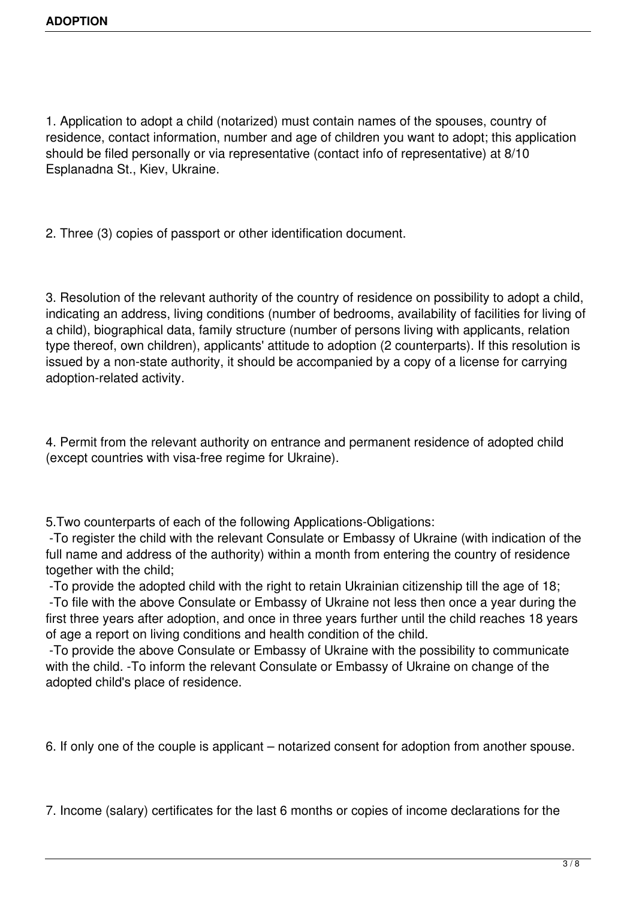1. Application to adopt a child (notarized) must contain names of the spouses, country of residence, contact information, number and age of children you want to adopt; this application should be filed personally or via representative (contact info of representative) at 8/10 Esplanadna St., Kiev, Ukraine.

2. Three (3) copies of passport or other identification document.

3. Resolution of the relevant authority of the country of residence on possibility to adopt a child, indicating an address, living conditions (number of bedrooms, availability of facilities for living of a child), biographical data, family structure (number of persons living with applicants, relation type thereof, own children), applicants' attitude to adoption (2 counterparts). If this resolution is issued by a non-state authority, it should be accompanied by a copy of a license for carrying adoption-related activity.

4. Permit from the relevant authority on entrance and permanent residence of adopted child (except countries with visa-free regime for Ukraine).

5.Two counterparts of each of the following Applications-Obligations:

 -To register the child with the relevant Consulate or Embassy of Ukraine (with indication of the full name and address of the authority) within a month from entering the country of residence together with the child;

-To provide the adopted child with the right to retain Ukrainian citizenship till the age of 18;

 -To file with the above Consulate or Embassy of Ukraine not less then once a year during the first three years after adoption, and once in three years further until the child reaches 18 years of age a report on living conditions and health condition of the child.

 -To provide the above Consulate or Embassy of Ukraine with the possibility to communicate with the child. -To inform the relevant Consulate or Embassy of Ukraine on change of the adopted child's place of residence.

6. If only one of the couple is applicant – notarized consent for adoption from another spouse.

7. Income (salary) certificates for the last 6 months or copies of income declarations for the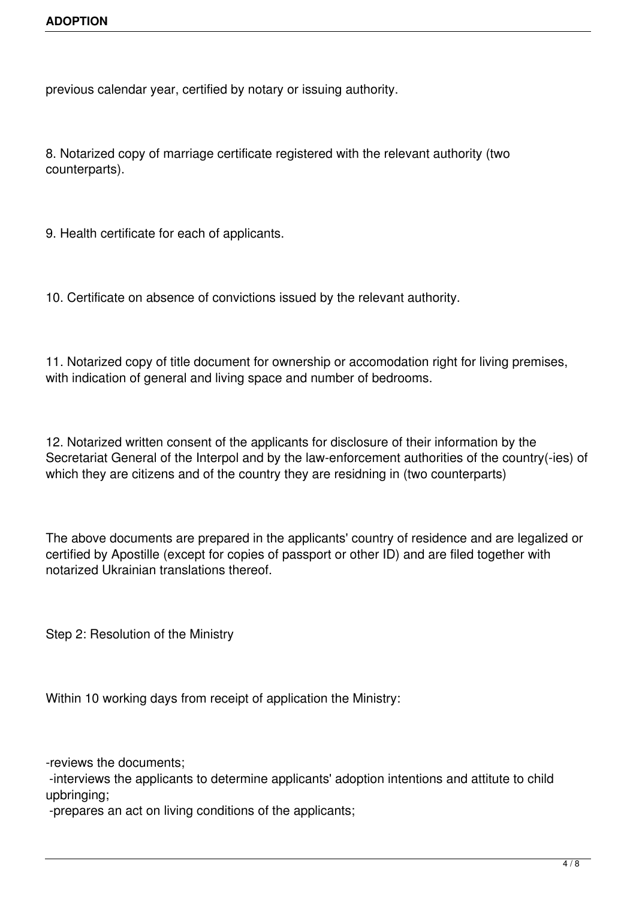previous calendar year, certified by notary or issuing authority.

8. Notarized copy of marriage certificate registered with the relevant authority (two counterparts).

9. Health certificate for each of applicants.

10. Certificate on absence of convictions issued by the relevant authority.

11. Notarized copy of title document for ownership or accomodation right for living premises, with indication of general and living space and number of bedrooms.

12. Notarized written consent of the applicants for disclosure of their information by the Secretariat General of the Interpol and by the law-enforcement authorities of the country(-ies) of which they are citizens and of the country they are residning in (two counterparts)

The above documents are prepared in the applicants' country of residence and are legalized or certified by Apostille (except for copies of passport or other ID) and are filed together with notarized Ukrainian translations thereof.

Step 2: Resolution of the Ministry

Within 10 working days from receipt of application the Ministry:

-reviews the documents;

 -interviews the applicants to determine applicants' adoption intentions and attitute to child upbringing;

-prepares an act on living conditions of the applicants;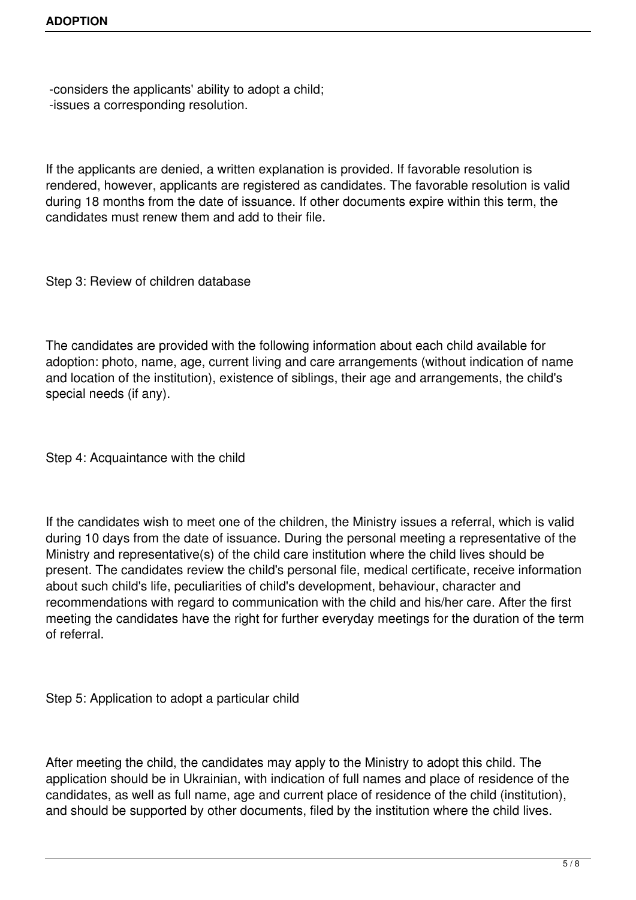-considers the applicants' ability to adopt a child; -issues a corresponding resolution.

If the applicants are denied, a written explanation is provided. If favorable resolution is rendered, however, applicants are registered as candidates. The favorable resolution is valid during 18 months from the date of issuance. If other documents expire within this term, the candidates must renew them and add to their file.

Step 3: Review of children database

The candidates are provided with the following information about each child available for adoption: photo, name, age, current living and care arrangements (without indication of name and location of the institution), existence of siblings, their age and arrangements, the child's special needs (if any).

Step 4: Acquaintance with the child

If the candidates wish to meet one of the children, the Ministry issues a referral, which is valid during 10 days from the date of issuance. During the personal meeting a representative of the Ministry and representative(s) of the child care institution where the child lives should be present. The candidates review the child's personal file, medical certificate, receive information about such child's life, peculiarities of child's development, behaviour, character and recommendations with regard to communication with the child and his/her care. After the first meeting the candidates have the right for further everyday meetings for the duration of the term of referral.

Step 5: Application to adopt a particular child

After meeting the child, the candidates may apply to the Ministry to adopt this child. The application should be in Ukrainian, with indication of full names and place of residence of the candidates, as well as full name, age and current place of residence of the child (institution), and should be supported by other documents, filed by the institution where the child lives.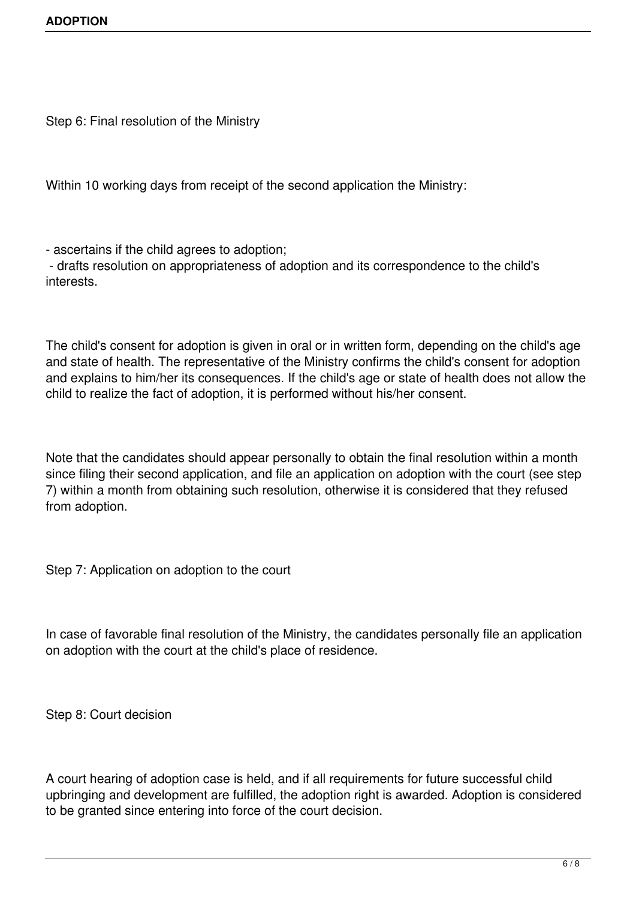Step 6: Final resolution of the Ministry

Within 10 working days from receipt of the second application the Ministry:

- ascertains if the child agrees to adoption;

 - drafts resolution on appropriateness of adoption and its correspondence to the child's interests.

The child's consent for adoption is given in oral or in written form, depending on the child's age and state of health. The representative of the Ministry confirms the child's consent for adoption and explains to him/her its consequences. If the child's age or state of health does not allow the child to realize the fact of adoption, it is performed without his/her consent.

Note that the candidates should appear personally to obtain the final resolution within a month since filing their second application, and file an application on adoption with the court (see step 7) within a month from obtaining such resolution, otherwise it is considered that they refused from adoption.

Step 7: Application on adoption to the court

In case of favorable final resolution of the Ministry, the candidates personally file an application on adoption with the court at the child's place of residence.

Step 8: Court decision

A court hearing of adoption case is held, and if all requirements for future successful child upbringing and development are fulfilled, the adoption right is awarded. Adoption is considered to be granted since entering into force of the court decision.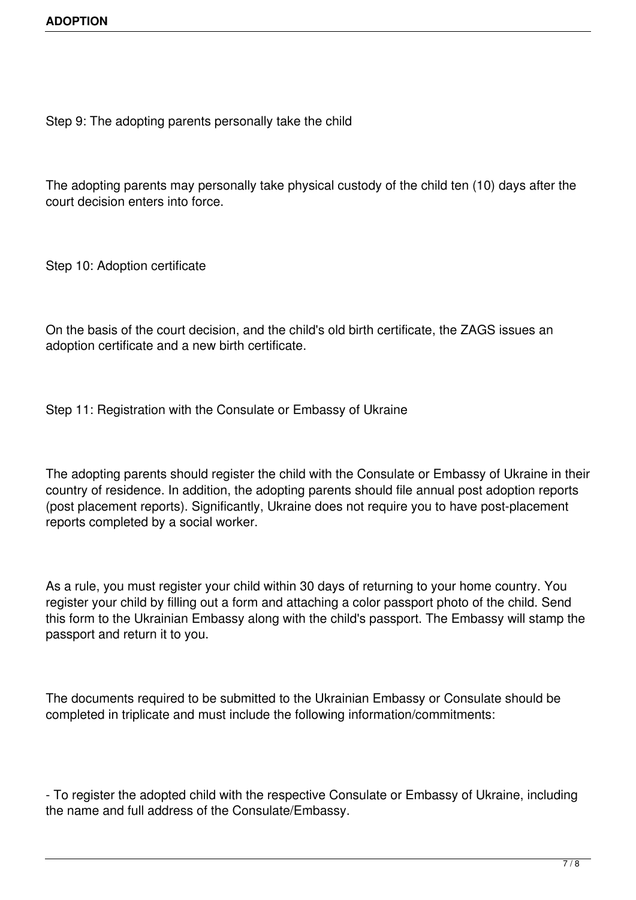Step 9: The adopting parents personally take the child

The adopting parents may personally take physical custody of the child ten (10) days after the court decision enters into force.

Step 10: Adoption certificate

On the basis of the court decision, and the child's old birth certificate, the ZAGS issues an adoption certificate and a new birth certificate.

Step 11: Registration with the Consulate or Embassy of Ukraine

The adopting parents should register the child with the Consulate or Embassy of Ukraine in their country of residence. In addition, the adopting parents should file annual post adoption reports (post placement reports). Significantly, Ukraine does not require you to have post-placement reports completed by a social worker.

As a rule, you must register your child within 30 days of returning to your home country. You register your child by filling out a form and attaching a color passport photo of the child. Send this form to the Ukrainian Embassy along with the child's passport. The Embassy will stamp the passport and return it to you.

The documents required to be submitted to the Ukrainian Embassy or Consulate should be completed in triplicate and must include the following information/commitments:

- To register the adopted child with the respective Consulate or Embassy of Ukraine, including the name and full address of the Consulate/Embassy.